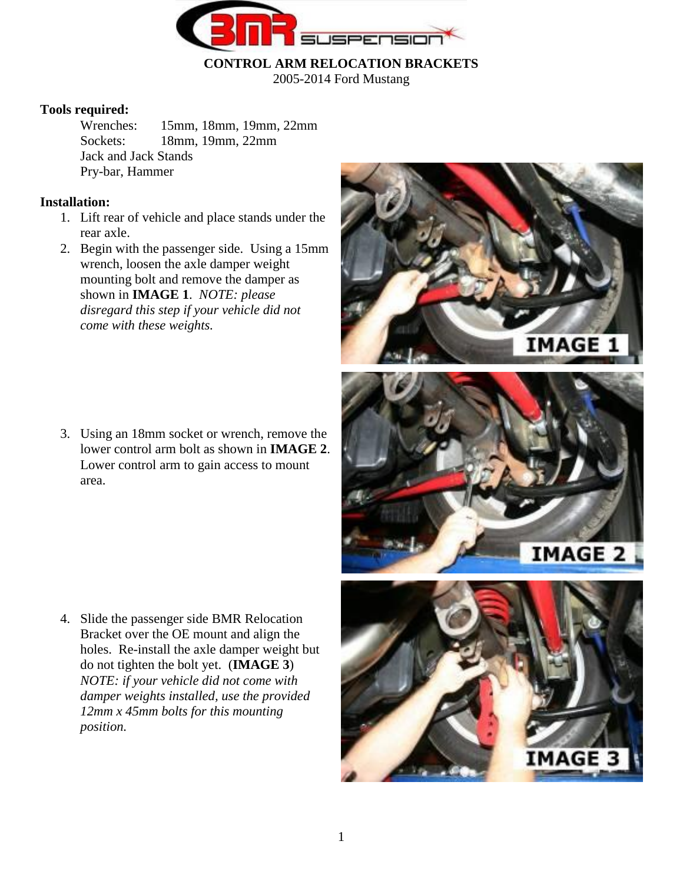

**CONTROL ARM RELOCATION BRACKETS**

2005-2014 Ford Mustang

#### **Tools required:**

Wrenches: 15mm, 18mm, 19mm, 22mm Sockets: 18mm, 19mm, 22mm Jack and Jack Stands Pry-bar, Hammer

## **Installation:**

- 1. Lift rear of vehicle and place stands under the rear axle.
- 2. Begin with the passenger side. Using a 15mm wrench, loosen the axle damper weight mounting bolt and remove the damper as shown in **IMAGE 1**. *NOTE: please disregard this step if your vehicle did not come with these weights.*

3. Using an 18mm socket or wrench, remove the lower control arm bolt as shown in **IMAGE 2**. Lower control arm to gain access to mount area.

4. Slide the passenger side BMR Relocation Bracket over the OE mount and align the holes. Re-install the axle damper weight but do not tighten the bolt yet. (**IMAGE 3**) *NOTE: if your vehicle did not come with damper weights installed, use the provided 12mm x 45mm bolts for this mounting position.*

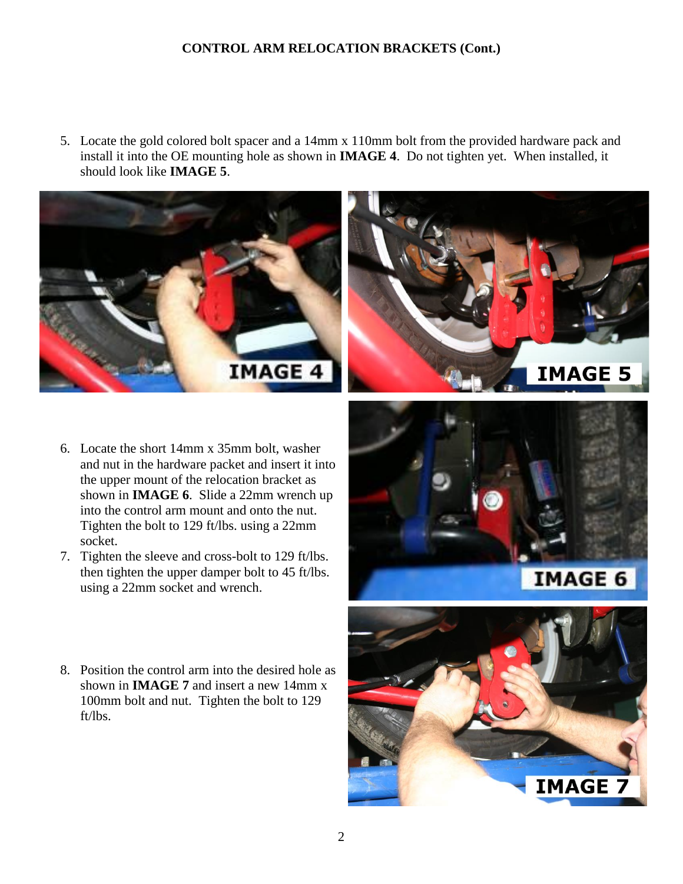5. Locate the gold colored bolt spacer and a 14mm x 110mm bolt from the provided hardware pack and install it into the OE mounting hole as shown in **IMAGE 4**. Do not tighten yet. When installed, it should look like **IMAGE 5**.





- 6. Locate the short 14mm x 35mm bolt, washer and nut in the hardware packet and insert it into the upper mount of the relocation bracket as shown in **IMAGE 6**. Slide a 22mm wrench up into the control arm mount and onto the nut. Tighten the bolt to 129 ft/lbs. using a 22mm socket.
- 7. Tighten the sleeve and cross-bolt to 129 ft/lbs. then tighten the upper damper bolt to 45 ft/lbs. using a 22mm socket and wrench.
- 8. Position the control arm into the desired hole as shown in **IMAGE 7** and insert a new 14mm x 100mm bolt and nut. Tighten the bolt to 129 ft/lbs.



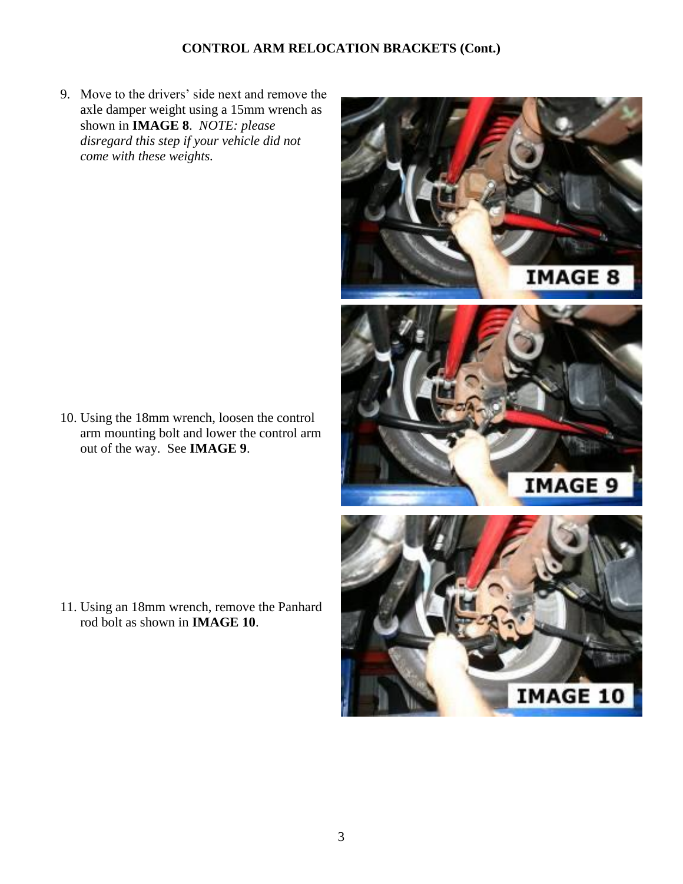9. Move to the drivers' side next and remove the axle damper weight using a 15mm wrench as shown in **IMAGE 8**. *NOTE: please disregard this step if your vehicle did not come with these weights.*

10. Using the 18mm wrench, loosen the control arm mounting bolt and lower the control arm out of the way. See **IMAGE 9**.

11. Using an 18mm wrench, remove the Panhard rod bolt as shown in **IMAGE 10**.

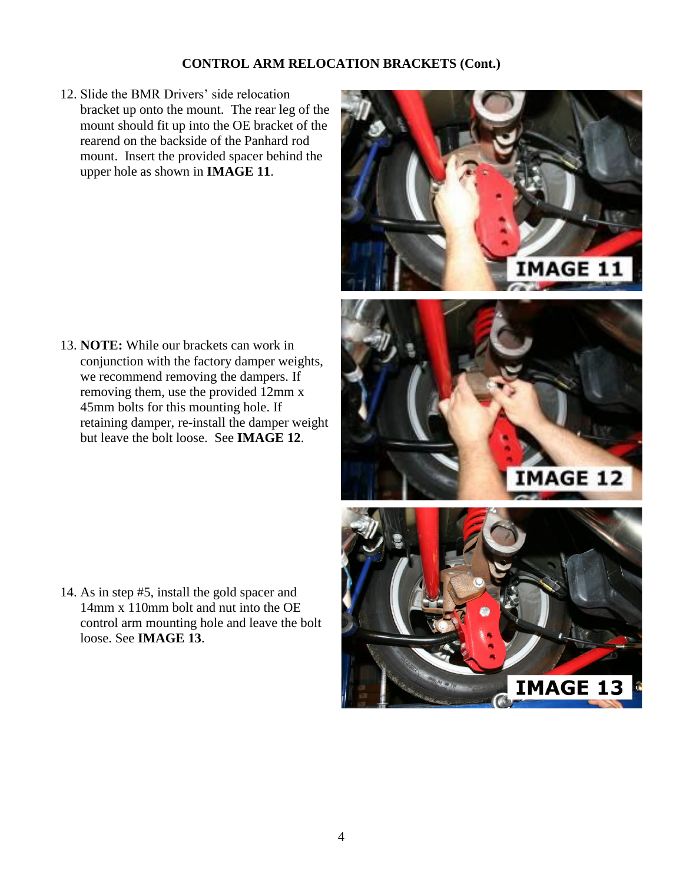12. Slide the BMR Drivers' side relocation bracket up onto the mount. The rear leg of the mount should fit up into the OE bracket of the rearend on the backside of the Panhard rod mount. Insert the provided spacer behind the upper hole as shown in **IMAGE 11**.

13. **NOTE:** While our brackets can work in conjunction with the factory damper weights, we recommend removing the dampers. If removing them, use the provided 12mm x 45mm bolts for this mounting hole. If retaining damper, re-install the damper weight but leave the bolt loose. See **IMAGE 12**.

14. As in step #5, install the gold spacer and 14mm x 110mm bolt and nut into the OE control arm mounting hole and leave the bolt loose. See **IMAGE 13**.